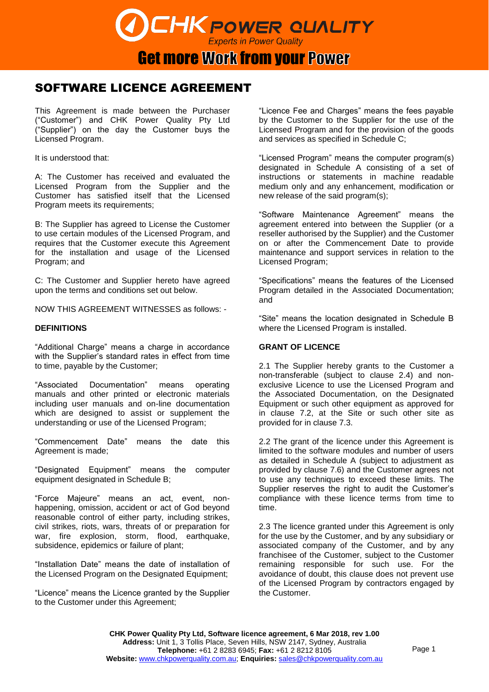

**Get more Work from your Power** 

# SOFTWARE LICENCE AGREEMENT

This Agreement is made between the Purchaser ("Customer") and CHK Power Quality Pty Ltd ("Supplier") on the day the Customer buys the Licensed Program.

It is understood that:

A: The Customer has received and evaluated the Licensed Program from the Supplier and the Customer has satisfied itself that the Licensed Program meets its requirements:

B: The Supplier has agreed to License the Customer to use certain modules of the Licensed Program, and requires that the Customer execute this Agreement for the installation and usage of the Licensed Program; and

C: The Customer and Supplier hereto have agreed upon the terms and conditions set out below.

NOW THIS AGREEMENT WITNESSES as follows: -

# **DEFINITIONS**

"Additional Charge" means a charge in accordance with the Supplier's standard rates in effect from time to time, payable by the Customer;

"Associated Documentation" means operating manuals and other printed or electronic materials including user manuals and on-line documentation which are designed to assist or supplement the understanding or use of the Licensed Program;

"Commencement Date" means the date this Agreement is made;

"Designated Equipment" means the computer equipment designated in Schedule B;

"Force Majeure" means an act, event, nonhappening, omission, accident or act of God beyond reasonable control of either party, including strikes, civil strikes, riots, wars, threats of or preparation for war, fire explosion, storm, flood, earthquake, subsidence, epidemics or failure of plant;

"Installation Date" means the date of installation of the Licensed Program on the Designated Equipment;

"Licence" means the Licence granted by the Supplier to the Customer under this Agreement;

"Licence Fee and Charges" means the fees payable by the Customer to the Supplier for the use of the Licensed Program and for the provision of the goods and services as specified in Schedule C;

"Licensed Program" means the computer program(s) designated in Schedule A consisting of a set of instructions or statements in machine readable medium only and any enhancement, modification or new release of the said program(s);

"Software Maintenance Agreement" means the agreement entered into between the Supplier (or a reseller authorised by the Supplier) and the Customer on or after the Commencement Date to provide maintenance and support services in relation to the Licensed Program;

"Specifications" means the features of the Licensed Program detailed in the Associated Documentation; and

"Site" means the location designated in Schedule B where the Licensed Program is installed.

# **GRANT OF LICENCE**

2.1 The Supplier hereby grants to the Customer a non-transferable (subject to clause 2.4) and nonexclusive Licence to use the Licensed Program and the Associated Documentation, on the Designated Equipment or such other equipment as approved for in clause 7.2, at the Site or such other site as provided for in clause 7.3.

2.2 The grant of the licence under this Agreement is limited to the software modules and number of users as detailed in Schedule A (subject to adjustment as provided by clause 7.6) and the Customer agrees not to use any techniques to exceed these limits. The Supplier reserves the right to audit the Customer's compliance with these licence terms from time to time.

2.3 The licence granted under this Agreement is only for the use by the Customer, and by any subsidiary or associated company of the Customer, and by any franchisee of the Customer, subject to the Customer remaining responsible for such use. For the avoidance of doubt, this clause does not prevent use of the Licensed Program by contractors engaged by the Customer.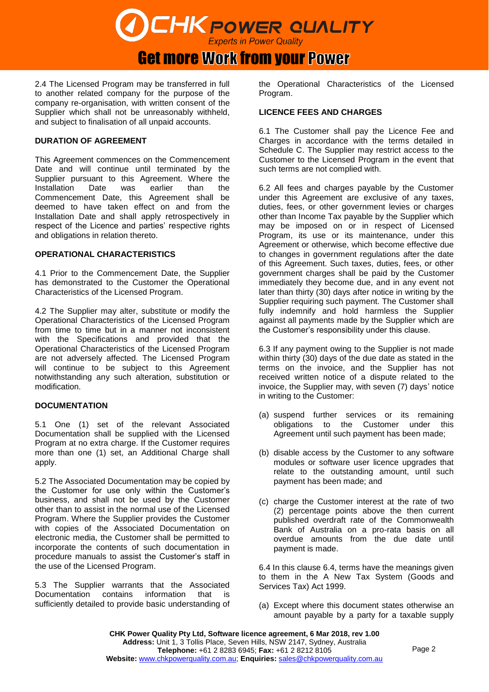# Get more Work from your Power

2.4 The Licensed Program may be transferred in full to another related company for the purpose of the company re-organisation, with written consent of the Supplier which shall not be unreasonably withheld, and subject to finalisation of all unpaid accounts.

# **DURATION OF AGREEMENT**

This Agreement commences on the Commencement Date and will continue until terminated by the Supplier pursuant to this Agreement. Where the Installation Date was earlier than the Commencement Date, this Agreement shall be deemed to have taken effect on and from the Installation Date and shall apply retrospectively in respect of the Licence and parties' respective rights and obligations in relation thereto.

# **OPERATIONAL CHARACTERISTICS**

4.1 Prior to the Commencement Date, the Supplier has demonstrated to the Customer the Operational Characteristics of the Licensed Program.

4.2 The Supplier may alter, substitute or modify the Operational Characteristics of the Licensed Program from time to time but in a manner not inconsistent with the Specifications and provided that the Operational Characteristics of the Licensed Program are not adversely affected. The Licensed Program will continue to be subject to this Agreement notwithstanding any such alteration, substitution or modification.

# **DOCUMENTATION**

5.1 One (1) set of the relevant Associated Documentation shall be supplied with the Licensed Program at no extra charge. If the Customer requires more than one (1) set, an Additional Charge shall apply.

5.2 The Associated Documentation may be copied by the Customer for use only within the Customer's business, and shall not be used by the Customer other than to assist in the normal use of the Licensed Program. Where the Supplier provides the Customer with copies of the Associated Documentation on electronic media, the Customer shall be permitted to incorporate the contents of such documentation in procedure manuals to assist the Customer's staff in the use of the Licensed Program.

5.3 The Supplier warrants that the Associated Documentation contains information that is sufficiently detailed to provide basic understanding of

the Operational Characteristics of the Licensed Program.

#### **LICENCE FEES AND CHARGES**

6.1 The Customer shall pay the Licence Fee and Charges in accordance with the terms detailed in Schedule C. The Supplier may restrict access to the Customer to the Licensed Program in the event that such terms are not complied with.

6.2 All fees and charges payable by the Customer under this Agreement are exclusive of any taxes, duties, fees, or other government levies or charges other than Income Tax payable by the Supplier which may be imposed on or in respect of Licensed Program, its use or its maintenance, under this Agreement or otherwise, which become effective due to changes in government regulations after the date of this Agreement. Such taxes, duties, fees, or other government charges shall be paid by the Customer immediately they become due, and in any event not later than thirty (30) days after notice in writing by the Supplier requiring such payment. The Customer shall fully indemnify and hold harmless the Supplier against all payments made by the Supplier which are the Customer's responsibility under this clause.

6.3 If any payment owing to the Supplier is not made within thirty (30) days of the due date as stated in the terms on the invoice, and the Supplier has not received written notice of a dispute related to the invoice, the Supplier may, with seven (7) days' notice in writing to the Customer:

- (a) suspend further services or its remaining obligations to the Customer under this Agreement until such payment has been made;
- (b) disable access by the Customer to any software modules or software user licence upgrades that relate to the outstanding amount, until such payment has been made; and
- (c) charge the Customer interest at the rate of two (2) percentage points above the then current published overdraft rate of the Commonwealth Bank of Australia on a pro-rata basis on all overdue amounts from the due date until payment is made.

6.4 In this clause 6.4, terms have the meanings given to them in the A New Tax System (Goods and Services Tax) Act 1999.

(a) Except where this document states otherwise an amount payable by a party for a taxable supply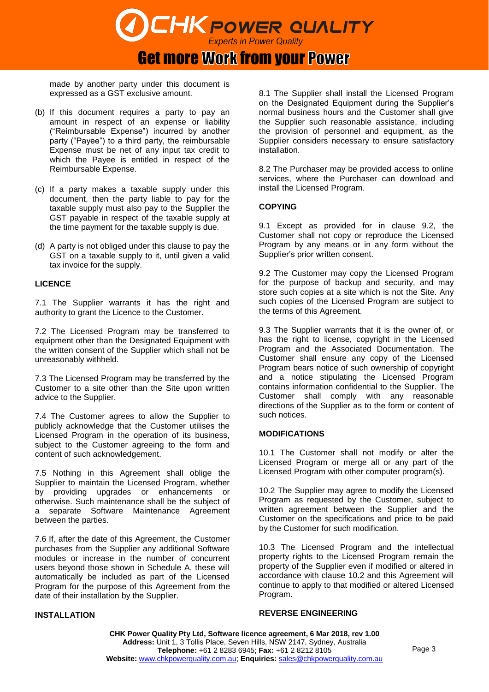**Get more Work from your Power** 

made by another party under this document is expressed as a GST exclusive amount.

- (b) If this document requires a party to pay an amount in respect of an expense or liability ("Reimbursable Expense") incurred by another party ("Payee") to a third party, the reimbursable Expense must be net of any input tax credit to which the Payee is entitled in respect of the Reimbursable Expense.
- (c) If a party makes a taxable supply under this document, then the party liable to pay for the taxable supply must also pay to the Supplier the GST payable in respect of the taxable supply at the time payment for the taxable supply is due.
- (d) A party is not obliged under this clause to pay the GST on a taxable supply to it, until given a valid tax invoice for the supply.

#### **LICENCE**

7.1 The Supplier warrants it has the right and authority to grant the Licence to the Customer.

7.2 The Licensed Program may be transferred to equipment other than the Designated Equipment with the written consent of the Supplier which shall not be unreasonably withheld.

7.3 The Licensed Program may be transferred by the Customer to a site other than the Site upon written advice to the Supplier.

7.4 The Customer agrees to allow the Supplier to publicly acknowledge that the Customer utilises the Licensed Program in the operation of its business, subject to the Customer agreeing to the form and content of such acknowledgement.

7.5 Nothing in this Agreement shall oblige the Supplier to maintain the Licensed Program, whether by providing upgrades or enhancements or otherwise. Such maintenance shall be the subject of a separate Software Maintenance Agreement between the parties.

7.6 If, after the date of this Agreement, the Customer purchases from the Supplier any additional Software modules or increase in the number of concurrent users beyond those shown in Schedule A, these will automatically be included as part of the Licensed Program for the purpose of this Agreement from the date of their installation by the Supplier.

#### **INSTALLATION**

8.1 The Supplier shall install the Licensed Program on the Designated Equipment during the Supplier's normal business hours and the Customer shall give the Supplier such reasonable assistance, including the provision of personnel and equipment, as the Supplier considers necessary to ensure satisfactory installation.

8.2 The Purchaser may be provided access to online services, where the Purchaser can download and install the Licensed Program.

#### **COPYING**

9.1 Except as provided for in clause 9.2, the Customer shall not copy or reproduce the Licensed Program by any means or in any form without the Supplier's prior written consent.

9.2 The Customer may copy the Licensed Program for the purpose of backup and security, and may store such copies at a site which is not the Site. Any such copies of the Licensed Program are subject to the terms of this Agreement.

9.3 The Supplier warrants that it is the owner of, or has the right to license, copyright in the Licensed Program and the Associated Documentation. The Customer shall ensure any copy of the Licensed Program bears notice of such ownership of copyright and a notice stipulating the Licensed Program contains information confidential to the Supplier. The Customer shall comply with any reasonable directions of the Supplier as to the form or content of such notices.

#### **MODIFICATIONS**

10.1 The Customer shall not modify or alter the Licensed Program or merge all or any part of the Licensed Program with other computer program(s).

10.2 The Supplier may agree to modify the Licensed Program as requested by the Customer, subject to written agreement between the Supplier and the Customer on the specifications and price to be paid by the Customer for such modification.

10.3 The Licensed Program and the intellectual property rights to the Licensed Program remain the property of the Supplier even if modified or altered in accordance with clause 10.2 and this Agreement will continue to apply to that modified or altered Licensed Program.

#### **REVERSE ENGINEERING**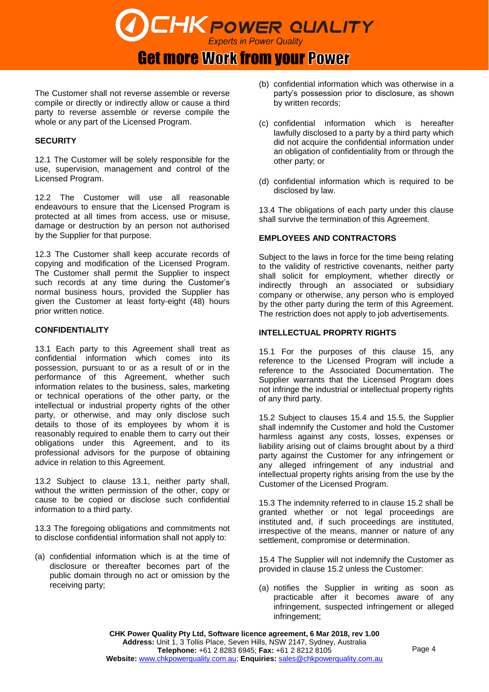

**Get more Work from your Power** 

The Customer shall not reverse assemble or reverse compile or directly or indirectly allow or cause a third party to reverse assemble or reverse compile the whole or any part of the Licensed Program.

# **SECURITY**

12.1 The Customer will be solely responsible for the use, supervision, management and control of the Licensed Program.

12.2 The Customer will use all reasonable endeavours to ensure that the Licensed Program is protected at all times from access, use or misuse, damage or destruction by an person not authorised by the Supplier for that purpose.

12.3 The Customer shall keep accurate records of copying and modification of the Licensed Program. The Customer shall permit the Supplier to inspect such records at any time during the Customer's normal business hours, provided the Supplier has given the Customer at least forty-eight (48) hours prior written notice.

#### **CONFIDENTIALITY**

13.1 Each party to this Agreement shall treat as confidential information which comes into its possession, pursuant to or as a result of or in the performance of this Agreement, whether such information relates to the business, sales, marketing or technical operations of the other party, or the intellectual or industrial property rights of the other party, or otherwise, and may only disclose such details to those of its employees by whom it is reasonably required to enable them to carry out their obligations under this Agreement, and to its professional advisors for the purpose of obtaining advice in relation to this Agreement.

13.2 Subject to clause 13.1, neither party shall, without the written permission of the other, copy or cause to be copied or disclose such confidential information to a third party.

13.3 The foregoing obligations and commitments not to disclose confidential information shall not apply to:

(a) confidential information which is at the time of disclosure or thereafter becomes part of the public domain through no act or omission by the receiving party;

- (b) confidential information which was otherwise in a party's possession prior to disclosure, as shown by written records;
- (c) confidential information which is hereafter lawfully disclosed to a party by a third party which did not acquire the confidential information under an obligation of confidentiality from or through the other party; or
- (d) confidential information which is required to be disclosed by law.

13.4 The obligations of each party under this clause shall survive the termination of this Agreement.

#### **EMPLOYEES AND CONTRACTORS**

Subject to the laws in force for the time being relating to the validity of restrictive covenants, neither party shall solicit for employment, whether directly or indirectly through an associated or subsidiary company or otherwise, any person who is employed by the other party during the term of this Agreement. The restriction does not apply to job advertisements.

#### **INTELLECTUAL PROPRTY RIGHTS**

15.1 For the purposes of this clause 15, any reference to the Licensed Program will include a reference to the Associated Documentation. The Supplier warrants that the Licensed Program does not infringe the industrial or intellectual property rights of any third party.

15.2 Subject to clauses 15.4 and 15.5, the Supplier shall indemnify the Customer and hold the Customer harmless against any costs, losses, expenses or liability arising out of claims brought about by a third party against the Customer for any infringement or any alleged infringement of any industrial and intellectual property rights arising from the use by the Customer of the Licensed Program.

15.3 The indemnity referred to in clause 15.2 shall be granted whether or not legal proceedings are instituted and, if such proceedings are instituted, irrespective of the means, manner or nature of any settlement, compromise or determination.

15.4 The Supplier will not indemnify the Customer as provided in clause 15.2 unless the Customer:

(a) notifies the Supplier in writing as soon as practicable after it becomes aware of any infringement, suspected infringement or alleged infringement;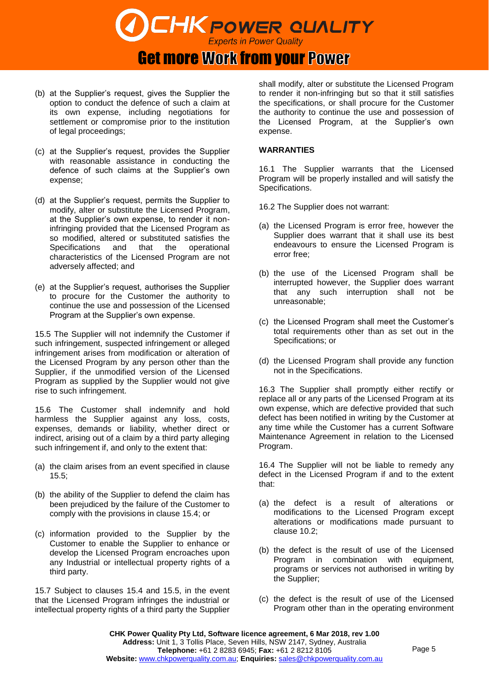

# **Get more Work from your Power**

- (b) at the Supplier's request, gives the Supplier the option to conduct the defence of such a claim at its own expense, including negotiations for settlement or compromise prior to the institution of legal proceedings;
- (c) at the Supplier's request, provides the Supplier with reasonable assistance in conducting the defence of such claims at the Supplier's own expense;
- (d) at the Supplier's request, permits the Supplier to modify, alter or substitute the Licensed Program, at the Supplier's own expense, to render it noninfringing provided that the Licensed Program as so modified, altered or substituted satisfies the Specifications and that the operational characteristics of the Licensed Program are not adversely affected; and
- (e) at the Supplier's request, authorises the Supplier to procure for the Customer the authority to continue the use and possession of the Licensed Program at the Supplier's own expense.

15.5 The Supplier will not indemnify the Customer if such infringement, suspected infringement or alleged infringement arises from modification or alteration of the Licensed Program by any person other than the Supplier, if the unmodified version of the Licensed Program as supplied by the Supplier would not give rise to such infringement.

15.6 The Customer shall indemnify and hold harmless the Supplier against any loss, costs, expenses, demands or liability, whether direct or indirect, arising out of a claim by a third party alleging such infringement if, and only to the extent that:

- (a) the claim arises from an event specified in clause 15.5;
- (b) the ability of the Supplier to defend the claim has been prejudiced by the failure of the Customer to comply with the provisions in clause 15.4; or
- (c) information provided to the Supplier by the Customer to enable the Supplier to enhance or develop the Licensed Program encroaches upon any Industrial or intellectual property rights of a third party.

15.7 Subject to clauses 15.4 and 15.5, in the event that the Licensed Program infringes the industrial or intellectual property rights of a third party the Supplier shall modify, alter or substitute the Licensed Program to render it non-infringing but so that it still satisfies the specifications, or shall procure for the Customer the authority to continue the use and possession of the Licensed Program, at the Supplier's own expense.

#### **WARRANTIES**

16.1 The Supplier warrants that the Licensed Program will be properly installed and will satisfy the Specifications.

- 16.2 The Supplier does not warrant:
- (a) the Licensed Program is error free, however the Supplier does warrant that it shall use its best endeavours to ensure the Licensed Program is error free;
- (b) the use of the Licensed Program shall be interrupted however, the Supplier does warrant that any such interruption shall not be unreasonable;
- (c) the Licensed Program shall meet the Customer's total requirements other than as set out in the Specifications; or
- (d) the Licensed Program shall provide any function not in the Specifications.

16.3 The Supplier shall promptly either rectify or replace all or any parts of the Licensed Program at its own expense, which are defective provided that such defect has been notified in writing by the Customer at any time while the Customer has a current Software Maintenance Agreement in relation to the Licensed Program.

16.4 The Supplier will not be liable to remedy any defect in the Licensed Program if and to the extent that:

- (a) the defect is a result of alterations or modifications to the Licensed Program except alterations or modifications made pursuant to clause 10.2;
- (b) the defect is the result of use of the Licensed Program in combination with equipment, programs or services not authorised in writing by the Supplier;
- (c) the defect is the result of use of the Licensed Program other than in the operating environment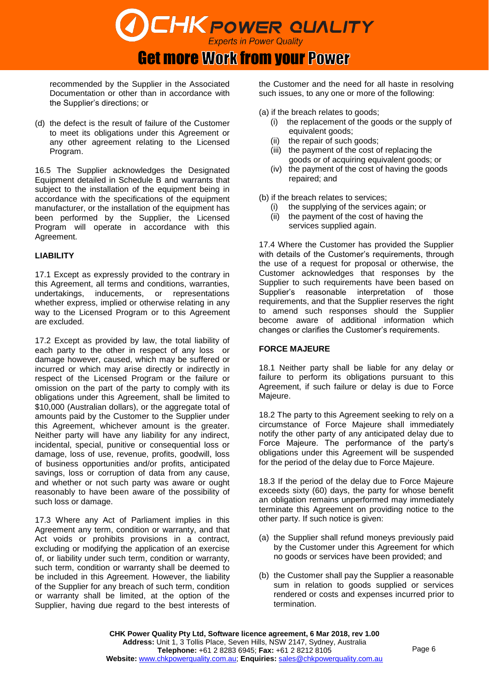# **Get more Work from your Power**

recommended by the Supplier in the Associated Documentation or other than in accordance with the Supplier's directions; or

(d) the defect is the result of failure of the Customer to meet its obligations under this Agreement or any other agreement relating to the Licensed Program.

16.5 The Supplier acknowledges the Designated Equipment detailed in Schedule B and warrants that subject to the installation of the equipment being in accordance with the specifications of the equipment manufacturer, or the installation of the equipment has been performed by the Supplier, the Licensed Program will operate in accordance with this Agreement.

# **LIABILITY**

17.1 Except as expressly provided to the contrary in this Agreement, all terms and conditions, warranties, undertakings, inducements, or representations whether express, implied or otherwise relating in any way to the Licensed Program or to this Agreement are excluded.

17.2 Except as provided by law, the total liability of each party to the other in respect of any loss or damage however, caused, which may be suffered or incurred or which may arise directly or indirectly in respect of the Licensed Program or the failure or omission on the part of the party to comply with its obligations under this Agreement, shall be limited to \$10,000 (Australian dollars), or the aggregate total of amounts paid by the Customer to the Supplier under this Agreement, whichever amount is the greater. Neither party will have any liability for any indirect, incidental, special, punitive or consequential loss or damage, loss of use, revenue, profits, goodwill, loss of business opportunities and/or profits, anticipated savings, loss or corruption of data from any cause, and whether or not such party was aware or ought reasonably to have been aware of the possibility of such loss or damage.

17.3 Where any Act of Parliament implies in this Agreement any term, condition or warranty, and that Act voids or prohibits provisions in a contract, excluding or modifying the application of an exercise of, or liability under such term, condition or warranty, such term, condition or warranty shall be deemed to be included in this Agreement. However, the liability of the Supplier for any breach of such term, condition or warranty shall be limited, at the option of the Supplier, having due regard to the best interests of the Customer and the need for all haste in resolving such issues, to any one or more of the following:

(a) if the breach relates to goods;

- (i) the replacement of the goods or the supply of equivalent goods;
- (ii) the repair of such goods;
- (iii) the payment of the cost of replacing the goods or of acquiring equivalent goods; or
- (iv) the payment of the cost of having the goods repaired; and

(b) if the breach relates to services;

- (i) the supplying of the services again; or
- (ii) the payment of the cost of having the services supplied again.

17.4 Where the Customer has provided the Supplier with details of the Customer's requirements, through the use of a request for proposal or otherwise, the Customer acknowledges that responses by the Supplier to such requirements have been based on Supplier's reasonable interpretation of those requirements, and that the Supplier reserves the right to amend such responses should the Supplier become aware of additional information which changes or clarifies the Customer's requirements.

# **FORCE MAJEURE**

18.1 Neither party shall be liable for any delay or failure to perform its obligations pursuant to this Agreement, if such failure or delay is due to Force Majeure.

18.2 The party to this Agreement seeking to rely on a circumstance of Force Majeure shall immediately notify the other party of any anticipated delay due to Force Majeure. The performance of the party's obligations under this Agreement will be suspended for the period of the delay due to Force Majeure.

18.3 If the period of the delay due to Force Majeure exceeds sixty (60) days, the party for whose benefit an obligation remains unperformed may immediately terminate this Agreement on providing notice to the other party. If such notice is given:

- (a) the Supplier shall refund moneys previously paid by the Customer under this Agreement for which no goods or services have been provided; and
- (b) the Customer shall pay the Supplier a reasonable sum in relation to goods supplied or services rendered or costs and expenses incurred prior to termination.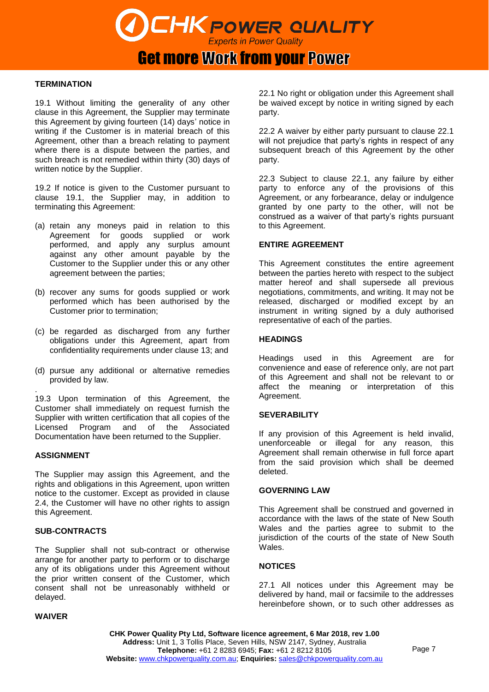Get more Work from your Power

#### **TERMINATION**

19.1 Without limiting the generality of any other clause in this Agreement, the Supplier may terminate this Agreement by giving fourteen (14) days' notice in writing if the Customer is in material breach of this Agreement, other than a breach relating to payment where there is a dispute between the parties, and such breach is not remedied within thirty (30) days of written notice by the Supplier.

19.2 If notice is given to the Customer pursuant to clause 19.1, the Supplier may, in addition to terminating this Agreement:

- (a) retain any moneys paid in relation to this Agreement for goods supplied or work performed, and apply any surplus amount against any other amount payable by the Customer to the Supplier under this or any other agreement between the parties;
- (b) recover any sums for goods supplied or work performed which has been authorised by the Customer prior to termination;
- (c) be regarded as discharged from any further obligations under this Agreement, apart from confidentiality requirements under clause 13; and
- (d) pursue any additional or alternative remedies provided by law.

. 19.3 Upon termination of this Agreement, the Customer shall immediately on request furnish the Supplier with written certification that all copies of the Licensed Program and of the Associated Documentation have been returned to the Supplier.

#### **ASSIGNMENT**

The Supplier may assign this Agreement, and the rights and obligations in this Agreement, upon written notice to the customer. Except as provided in clause 2.4, the Customer will have no other rights to assign this Agreement.

#### **SUB-CONTRACTS**

The Supplier shall not sub-contract or otherwise arrange for another party to perform or to discharge any of its obligations under this Agreement without the prior written consent of the Customer, which consent shall not be unreasonably withheld or delayed.

#### **WAIVER**

22.1 No right or obligation under this Agreement shall be waived except by notice in writing signed by each party.

22.2 A waiver by either party pursuant to clause 22.1 will not prejudice that party's rights in respect of any subsequent breach of this Agreement by the other party.

22.3 Subject to clause 22.1, any failure by either party to enforce any of the provisions of this Agreement, or any forbearance, delay or indulgence granted by one party to the other, will not be construed as a waiver of that party's rights pursuant to this Agreement.

#### **ENTIRE AGREEMENT**

This Agreement constitutes the entire agreement between the parties hereto with respect to the subject matter hereof and shall supersede all previous negotiations, commitments, and writing. It may not be released, discharged or modified except by an instrument in writing signed by a duly authorised representative of each of the parties.

#### **HEADINGS**

Headings used in this Agreement are for convenience and ease of reference only, are not part of this Agreement and shall not be relevant to or affect the meaning or interpretation of this Agreement.

#### **SEVERABILITY**

If any provision of this Agreement is held invalid, unenforceable or illegal for any reason, this Agreement shall remain otherwise in full force apart from the said provision which shall be deemed deleted.

#### **GOVERNING LAW**

This Agreement shall be construed and governed in accordance with the laws of the state of New South Wales and the parties agree to submit to the jurisdiction of the courts of the state of New South **Wales** 

#### **NOTICES**

27.1 All notices under this Agreement may be delivered by hand, mail or facsimile to the addresses hereinbefore shown, or to such other addresses as